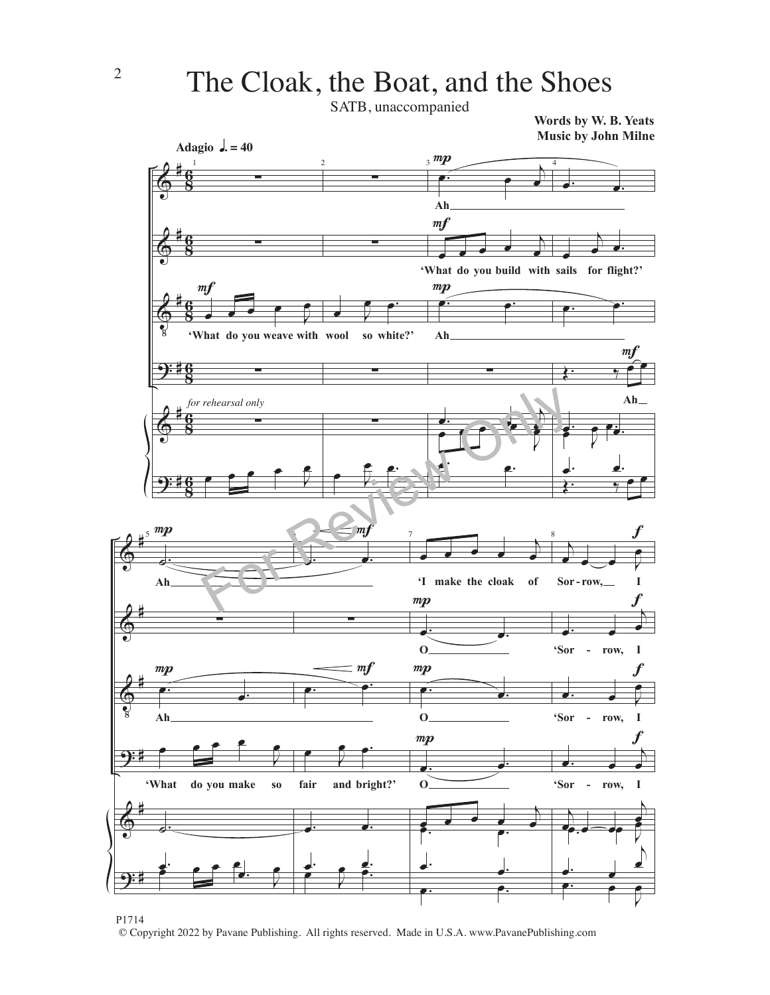## The Cloak, the Boat, and the Shoes

SATB, unaccompanied

**Words by W. B. Yeats Music by John Milne**



 P1714 © Copyright 2022 by Pavane Publishing. All rights reserved. Made in U.S.A. www.PavanePublishing.com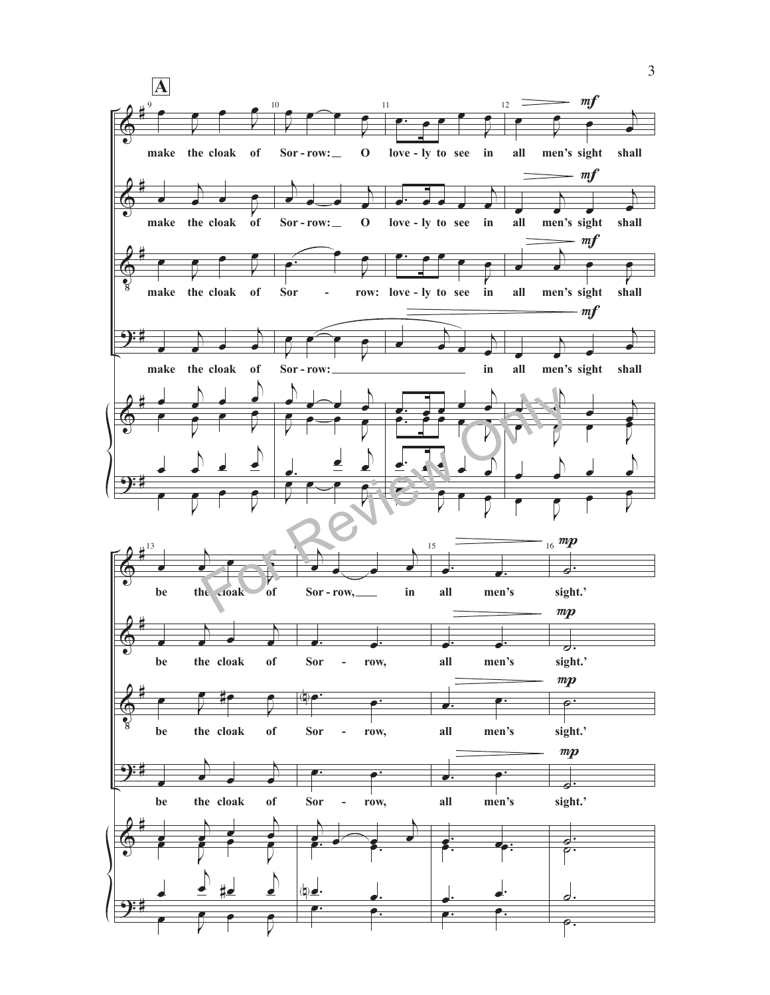

3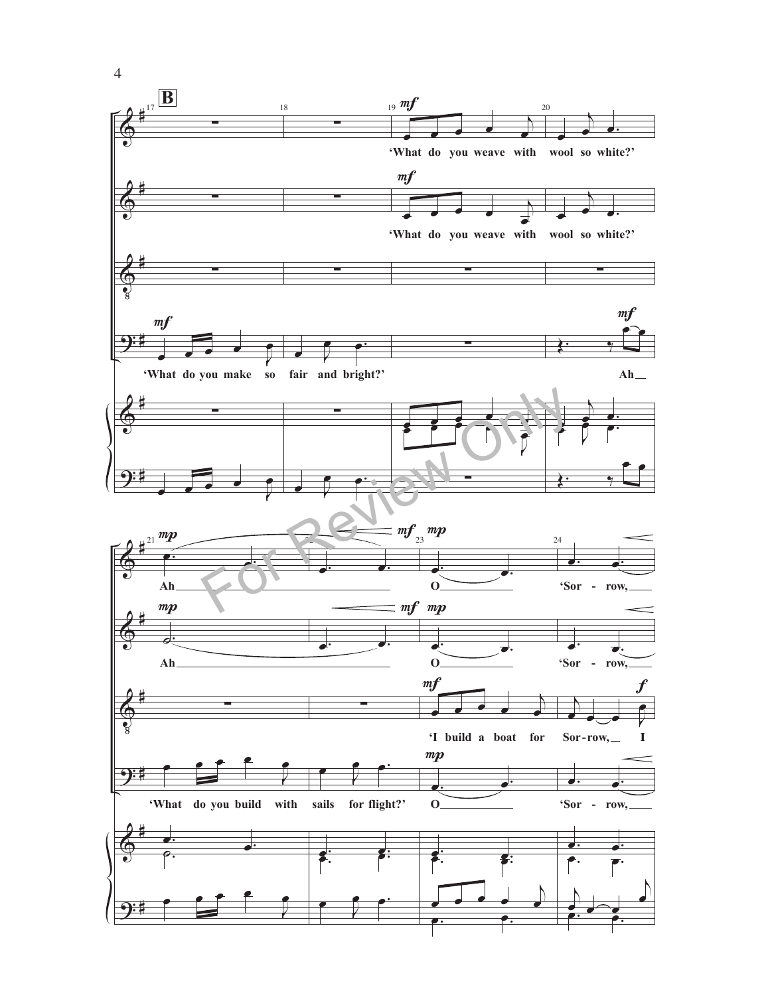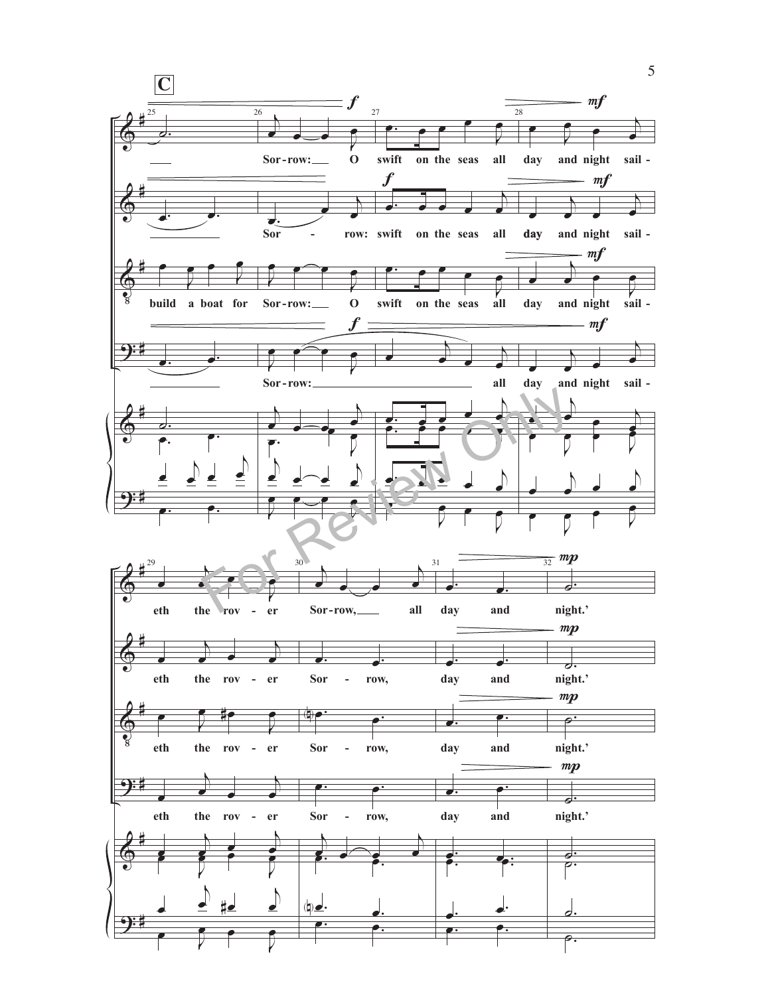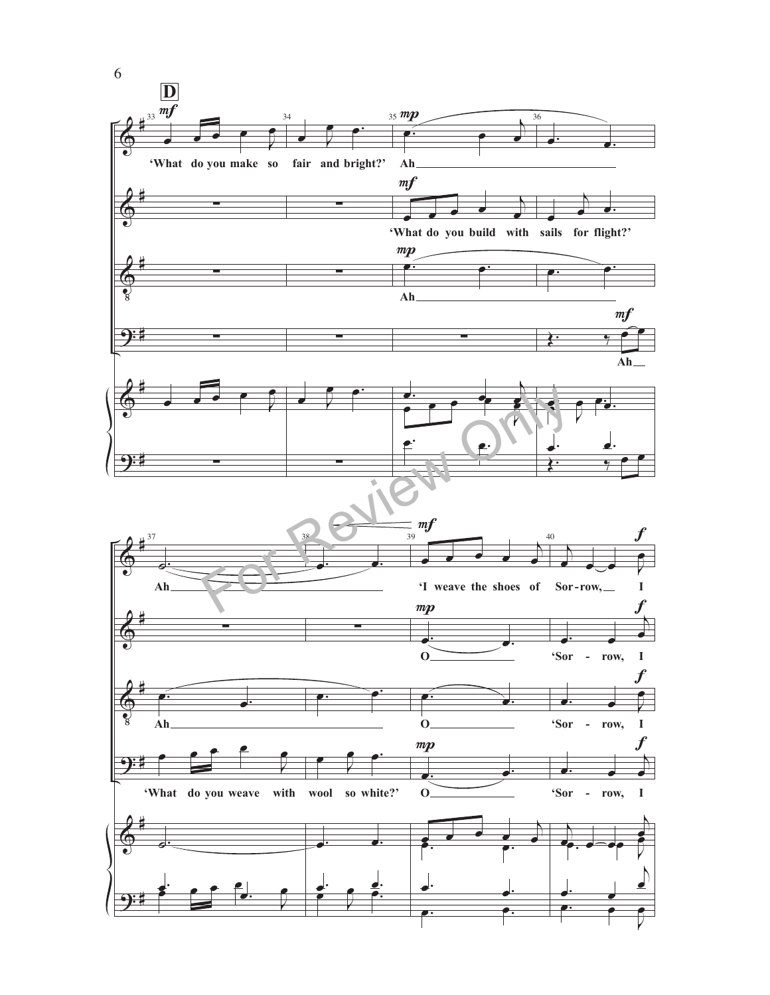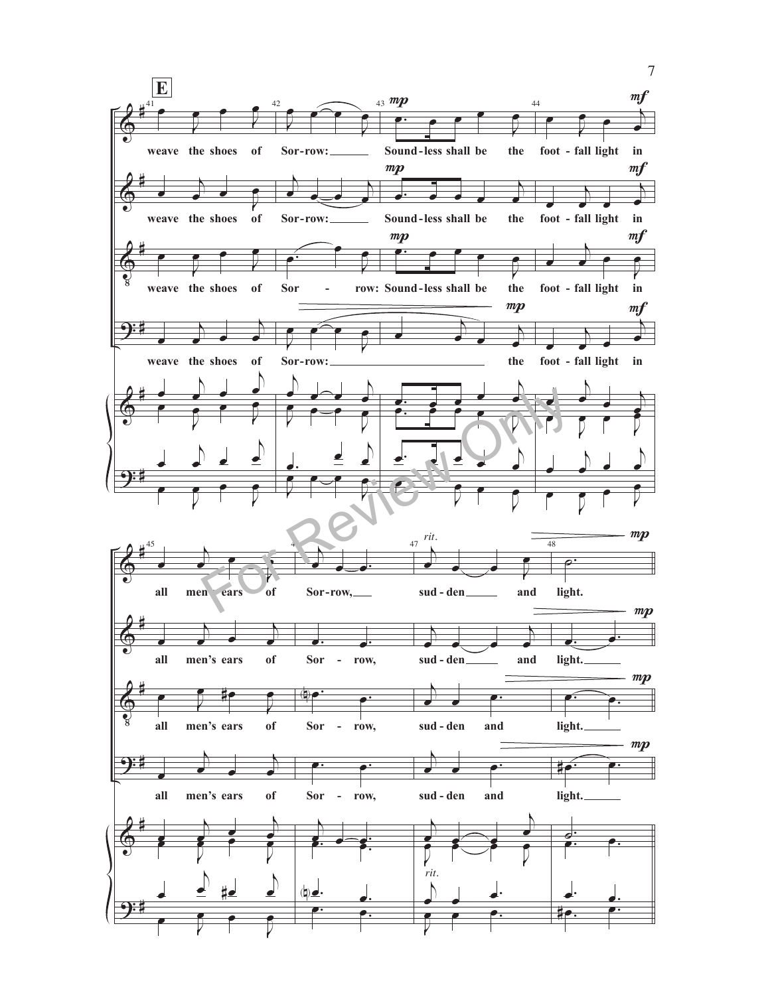